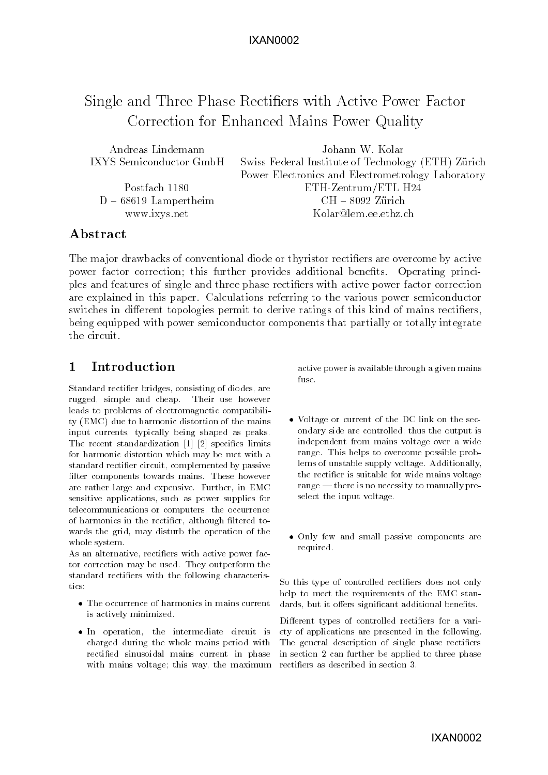# IXAN0002

# Single and Three Phase Rectiers with Active Power Factor Correction for Enhanced Mains Power Quality

| Andreas Lindemann       | Johann W. Kolar                                    |
|-------------------------|----------------------------------------------------|
| IXYS Semiconductor GmbH | Swiss Federal Institute of Technology (ETH) Zürich |
|                         | Power Electronics and Electrometrology Laboratory  |
| Postfach 1180           | $ETH$ -Zentrum/ETL $H24$                           |
| $D - 68619$ Lampertheim | $CH - 8092$ Zürich                                 |
| www.ixys.net            | Kolar@lem.ee.ethz.ch                               |

## Abstract

The major drawbacks of conventional diode or thyristor rectifiers are overcome by active power factor correction; this further provides additional benefits. Operating principles and features of single and three phase rectiers with active power factor correction are explained in this paper. Calculations referring to the various power semiconductor switches in different topologies permit to derive ratings of this kind of mains rectifiers. being equipped with power semiconductor components that partially or totally integrate the circuit.

#### $\mathbf{1}$ Introduction

Standard rectier bridges, consisting of diodes, are rugged, simple and cheap. Their use however leads to problems of electromagnetic compatibility (EMC) due to harmonic distortion of the mains input currents, typically being shaped as peaks. The recent standardization [1] [2] specifies limits for harmonic distortion which may be met with a standard rectier circuit, complemented by passive filter components towards mains. These however are rather large and expensive. Further, in EMC sensitive applications, such as power supplies for telecommunications or computers, the occurrence of harmonics in the rectifier, although filtered towards the grid, may disturb the operation of the whole system.

As an alternative, rectifiers with active power factor correction may be used. They outperform the standard rectifiers with the following characteristics.

- The occurrence of harmonics in mains current is actively minimized.
- In operation, the intermediate circuit is charged during the whole mains period with rectied sinusoidal mains current in phase with mains voltage; this way, the maximum

active power is available through a given mains fuse.

- Voltage or current of the DC link on the secondary side are controlled; thus the output is independent from mains voltage over a wide range. This helps to overcome possible problems of unstable supply voltage. Additionally, the rectier is suitable for wide mains voltage range  $-$  there is no necessity to manually preselect the input voltage.
- Only few and small passive components are required.

So this type of controlled rectifiers does not only help to meet the requirements of the EMC standards, but it offers significant additional benefits.

Different types of controlled rectifiers for a variety of applications are presented in the following. The general description of single phase rectifiers in section 2 can further be applied to three phase rectiers as described in section 3.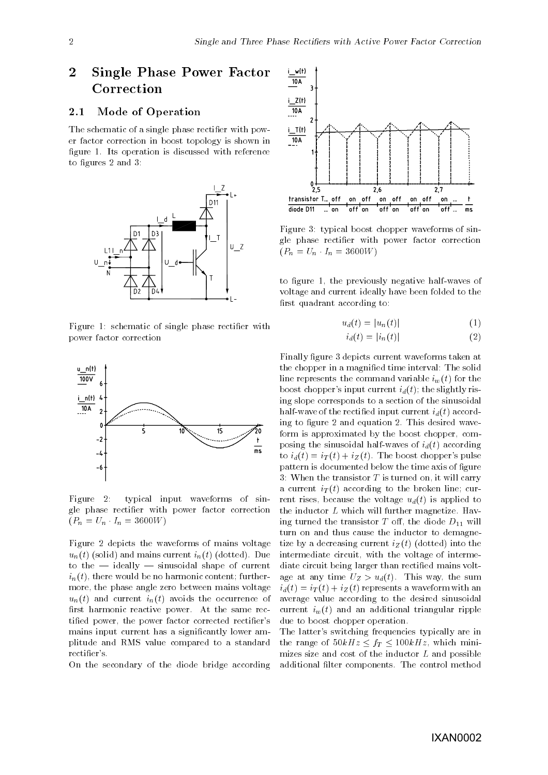## $\overline{2}$ Single Phase Power Factor  $\frac{1-w(1)}{10A}$ Correction

#### 2.1Mode of Operation

The schematic of a single phase rectifier with power factor correction in boost topology is shown in figure 1. Its operation is discussed with reference to figures 2 and 3:



Figure 1: schematic of single phase rectifier with power factor correction



Figure 2: typical input waveforms of single phase rectier with power factor correction  $(P_n = U_n \cdot I_n = 3600W)$ 

Figure 2 depicts the waveforms of mains voltage  $u_n(t)$  (solid) and mains current  $i_n(t)$  (dotted). Due to the  $-$  ideally  $-$  sinusoidal shape of current  $i_n(t)$ , there would be no harmonic content; furthermore, the phase angle zero between mains voltage  $u_n(t)$  and current  $i_n(t)$  avoids the occurrence of first harmonic reactive power. At the same rectified power, the power factor corrected rectifier's mains input current has a signicantly lower amplitude and RMS value compared to a standard rectifier's.

On the secondary of the diode bridge according



Figure 3: typical boost chopper waveforms of single phase rectier with power factor correction  $(P_n = U_n \cdot I_n = 3600W)$ 

to figure 1, the previously negative half-waves of voltage and current ideally have been folded to the first quadrant according to:

$$
u_d(t) = |u_n(t)| \tag{1}
$$

$$
i_d(t) = |i_n(t)| \tag{2}
$$

Finally figure 3 depicts current waveforms taken at the chopper in a magnied time interval: The solid line represents the command variable  $i_w(t)$  for the boost chopper's input current  $i_d(t)$ ; the slightly rising slope corresponds to a section of the sinusoidal half-wave of the rectified input current  $i_d(t)$  according to figure 2 and equation 2. This desired waveform is approximated by the boost chopper, composing the sinusoidal half-waves of  $i_d(t)$  according to  $i_d(t) = i_T(t) + i_Z(t)$ . The boost chopper's pulse pattern is documented below the time axis of figure 3: When the transistor  $T$  is turned on, it will carry a current  $i_T(t)$  according to the broken line; current rises, because the voltage  $u_d(t)$  is applied to the inductor <sup>L</sup> which will further magnetize. Having turned the transistor  $T$  off, the diode  $D_{11}$  will turn on and thus cause the inductor to demagnetize by a decreasing current  $i_Z(t)$  (dotted) into the intermediate circuit, with the voltage of intermediate circuit being larger than rectified mains voltage at any time  $U_Z > u_d(t)$ . This way, the sum  $i_d(t) = i_T(t) + i_Z(t)$  represents a waveform with an average value according to the desired sinusoidal current  $i_w(t)$  and an additional triangular ripple due to boost chopper operation.

The latter's switching frequencies typically are in the range of  $50kHz \leq f_T \leq 100kHz$ , which minimizes size and cost of the inductor  $L$  and possible additional filter components. The control method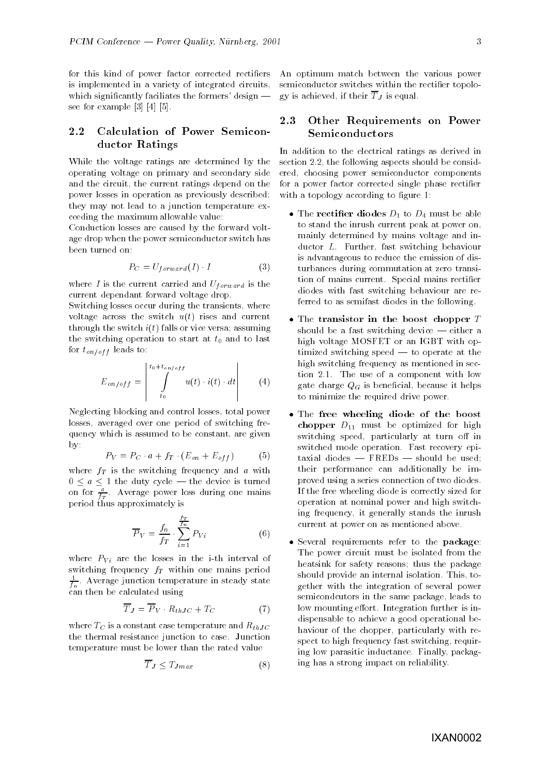for this kind of power factor corrected rectifiers is implemented in a variety of integrated circuits, which significantly faciliates the formers' design  $$ see for example [3] [4] [5].

#### 2.2 Calculation of Power Semiconductor Ratings

While the voltage ratings are determined by the operating voltage on primary and secondary side and the circuit, the current ratings depend on the power losses in operation as previously described; they may not lead to a junction temperature exceeding the maximum allowable value:

Conduction losses are caused by the forward voltage drop when the power semiconductor switch has been turned on:

$$
P_C = U_{forward}(I) \cdot I \tag{3}
$$

where I is the current carried and  $U_{forward}$  is the current dependant forward voltage drop.

Switching losses occur during the transients, where voltage across the switch  $u(t)$  rises and current through the switch  $i(t)$  falls or vice versa; assuming the switching operation to start at  $t_0$  and to last for  $t_{on/off}$  leads to:

$$
E_{on/off} = \left| \int_{t_0}^{t_0 + t_{on/off}} u(t) \cdot i(t) \cdot dt \right| \qquad (4)
$$

Neglecting blocking and control losses, total power losses, averaged over one period of switching frequency which is assumed to be constant, are given by:

$$
P_V = P_C \cdot a + f_T \cdot (E_{on} + E_{off}) \tag{5}
$$

where  $f_T$  is the switching frequency and a with  $0 \le a \le 1$  the duty cycle — the device is turned on for  $\frac{1}{f_T}$ . Average power loss during one mains period thus approximately is

$$
\overline{P}_V = \frac{f_n}{f_T} \cdot \sum_{i=1}^{\frac{f_T}{f_n}} P_{Vi} \tag{6}
$$

where  $P_{Vi}$  are the losses in the i-th interval of switching frequency  $f_T$  within one mains period  $\rightleftharpoons$  . Average junction temperature in steady state fn can the calculated using the calculated using the contract of the contract of the contract of the contract of

$$
\overline{T}_J = \overline{P}_V \cdot R_{thJC} + T_C \tag{7}
$$

where  $T_C$  is a constant case temperature and  $R_{thJC}$ the thermal resistance junction to case. Junction temperature must be lower than the rated value

$$
\overline{T}_J \le T_{Jmax} \tag{8}
$$

An optimum match between the various power semiconductor switches within the rectifier topolo- $\alpha$  is accessed in the contract  $\alpha$   $\beta$  is equal.

#### 2.3 Other Requirements on Power Semiconductors

In addition to the electrical ratings as derived in section 2.2, the following aspects should be considered, choosing power semiconductor components for a power factor corrected single phase rectifier with a topology according to figure 1:

- The rectifier diodes  $D_1$  to  $D_4$  must be able to stand the inrush current peak at power on, mainly determined by mains voltage and inductor L. Further, fast switching behaviour is advantageous to reduce the emission of disturbances during commutation at zero transition of mains current. Special mains rectier diodes with fast switching behaviour are referred to as semifast diodes in the following.
- $\bullet$  The transistor in the boost chopper  $T$ should be a fast switching device  $-$  either a high voltage MOSFET or an IGBT with optimized switching speed  $-$  to operate at the high switching frequency as mentioned in section 2.1. The use of a component with low gate charge  $Q_G$  is beneficial, because it helps to minimize the required drive power.
- The free wheeling diode of the boost chopper D11 must be optimized for high switching speed, particularly at turn off in switched mode operation. Fast recovery epitaxial diodes  $-$  FREDs  $-$  should be used; their performance can additionally be improved using a series connection of two diodes. If the free wheeling diode is correctly sized for operation at nominal power and high switching frequency, it generally stands the inrush current at power on as mentioned above.
- Several requirements refer to the package: The power circuit must be isolated from the heatsink for safety reasons; thus the package should provide an internal isolation. This, together with the integration of several power semicondcutors in the same package, leads to low mounting effort. Integration further is indispensable to achieve a good operational behaviour of the chopper, particularly with respect to high frequency fast switching, requiring low parasitic inductance. Finally, packaging has a strong impact on reliability.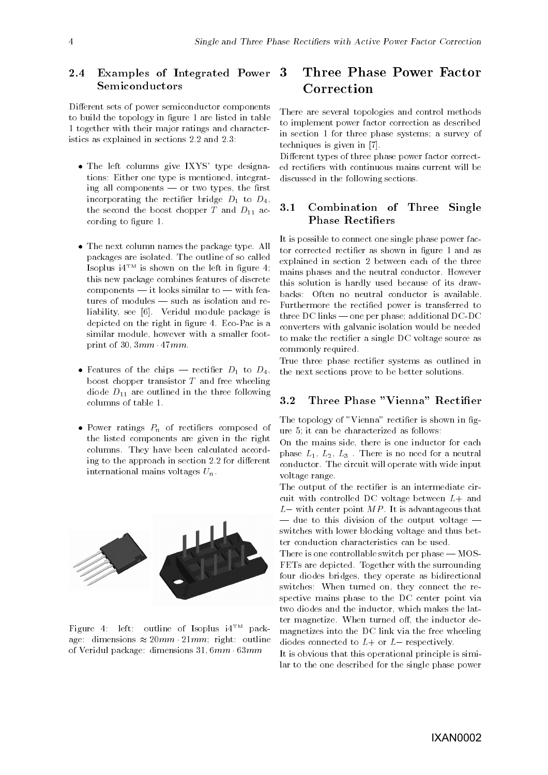### 2.4 Examples of Integrated Power Semiconductors

Different sets of power semiconductor components to build the topology in figure 1 are listed in table 1 together with their major ratings and characteristics as explained in sections 2.2 and 2.3:

- The left columns give IXYS' type designations: Either one type is mentioned, integrating all components  $-$  or two types, the first incorporating the rectifier bridge  $D_1$  to  $D_4$ , the second the boost chopper  $T$  and  $D_{11}$  according to figure 1.
- The next column names the package type. All packages are isolated. The outline of so called Isoplus  $i4^{TM}$  is shown on the left in figure 4; this new package combines features of discrete  $components - it looks similar to - with fea$ tures of modules  $-$  such as isolation and reliability, see [6]. Veridul module package is depicted on the right in figure 4. Eco-Pac is a similar module, however with a smaller footprint of  $30, 3mm$   $47mm$ .
- Features of the chips rectifier  $D_1$  to  $D_4$ , boost chopper transistor  $T$  and free wheeling diode  $D_{11}$  are outlined in the three following columns of table 1.
- Power ratings  $P_n$  of rectifiers composed of the listed components are given in the right columns. They have been calculated according to the approach in section 2.2 for different international mains voltages  $U_n$ .



Figure 4: left: outline of Isoplus i4TM package: dimensions  $\approx 20mm$  21mm; right: outline of Veridul package: dimensions 31; 6mm 63mm

# Three Phase Power Factor Correction

There are several topologies and control methods to implement power factor correction as described in section 1 for three phase systems; a survey of techniques is given in [7].

Different types of three phase power factor corrected rectiers with continuous mains current will be discussed in the following sections.

#### 3.1 Combination of Three Single Phase Rectifiers

It is possible to connect one single phase power factor corrected rectifier as shown in figure 1 and as explained in section 2 between each of the three mains phases and the neutral conductor. However this solution is hardly used because of its drawbacks: Often no neutral conductor is available. Furthermore the rectied power is transferred to three DC links  $-$  one per phase; additional DC-DC converters with galvanic isolation would be needed to make the rectifier a single DC voltage source as commonly required.

True three phase rectifier systems as outlined in the next sections prove to be better solutions.

#### 3.2Three Phase "Vienna" Rectifier

The topology of "Vienna" rectifier is shown in figure 5; it can be characterized as follows:

On the mains side, there is one inductor for each phase  $L_1, L_2, L_3$ . There is no need for a neutral conductor. The circuit will operate with wide input voltage range.

The output of the rectifier is an intermediate circuit with controlled DC voltage between  $L+$  and  $L$  – with center point  $MP$ . It is advantageous that  $\frac{d}{dt}$  due to this division of the output voltage  $\frac{d}{dt}$ switches with lower blocking voltage and thus better conduction characteristics can be used.

There is one controllable switch per phase  $-MOS-$ FETs are depicted. Together with the surrounding four diodes bridges, they operate as bidirectional switches: When turned on, they connect the respective mains phase to the DC center point via two diodes and the inductor, which makes the latter magnetize. When turned off, the inductor demagnetizes into the DC link via the free wheeling diodes connected to  $L+$  or  $L-$  respectively.

It is obvious that this operational principle is similar to the one described for the single phase power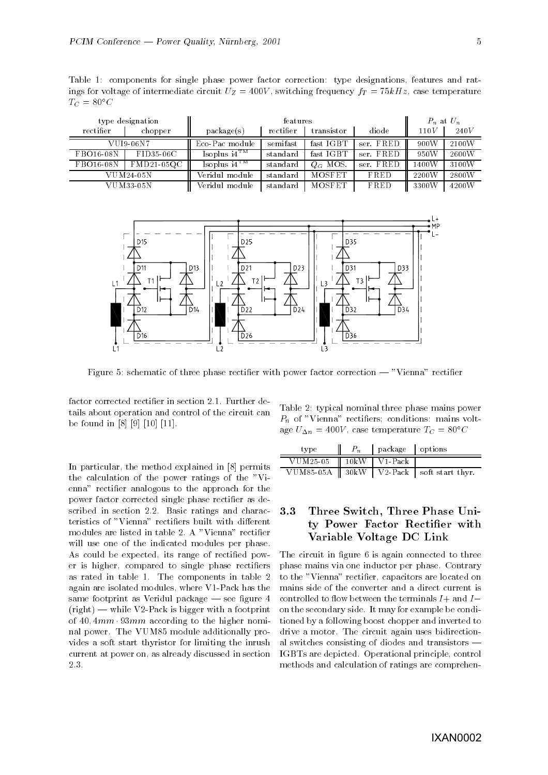Table 1: components for single phase power factor correction: type designations, features and ratings for voltage of intermediate circuit  $U_Z = 400V$ , switching frequency  $f_T = 75kHz$ , case temperature  $T_C = 80^{\circ}C$ 

|           | type designation | features          |           |               | $P_n$ at $U_n$ |           |       |
|-----------|------------------|-------------------|-----------|---------------|----------------|-----------|-------|
| rectifier | chopper          | package(s)        | rectifier | transistor    | diode          | 110V      | 240V  |
|           | VUI9-06N7        | Eco-Pac module    | semifast  | fast IGBT     | ser. FRED      | 900W<br>Ш | 2100W |
| FBO16-08N | FID35-06C        | Isoplus $i4^{TM}$ | standard  | fast IGBT     | ser. FRED      | 950W      | 2600W |
| FBO16-08N | $FMD21-05QC$     | Isoplus $i4^{TM}$ | standard  | $Q_G$ MOS.    | ser. FRED      | 1400W     | 3100W |
|           | $VUM24-05N$      | Veridul module-   | standard  | <b>MOSFET</b> | FRED           | 2200W     | 2800W |
|           | $VUM33-05N$      | Veridul module    | standard  | <b>MOSFET</b> | FRED           | 3300W     | 4200W |



Figure 5: schematic of three phase rectifier with power factor correction — "Vienna" rectifier

factor corrected rectier in section 2.1. Further details about operation and control of the circuit can be found in [8] [9] [10] [11].

In particular, the method explained in [8] permits the calculation of the power ratings of the "Vienna" rectier analogous to the approach for the power factor corrected single phase rectifier as described in section 2.2. Basic ratings and characteristics of "Vienna" rectifiers built with different modules are listed in table 2. A "Vienna" rectier will use one of the indicated modules per phase. As could be expected, its range of rectified power is higher, compared to single phase rectifiers as rated in table 1. The components in table 2 again are isolated modules, where V1-Pack has the same footprint as Veridul package  $-$  see figure 4  $(right)$  — while V2-Pack is bigger with a footprint of  $40, 4mm \cdot 93mm$  according to the higher nominal power. The VUM85 module additionally provides a soft start thyristor for limiting the inrush current at power on, as already discussed in section 2.3.

Table 2: typical nominal three phase mains power  $P_n$  of "Vienna" rectifiers; conditions: mains voltage  $U_{\Delta n} = 400V$ , case temperature  $T_C = 80^{\circ}C$ 

| type                                | package options |                                                  |
|-------------------------------------|-----------------|--------------------------------------------------|
| VUM25-05 $\parallel$ 10kW   V1-Pack |                 |                                                  |
|                                     |                 | VUM85-05A    $30kW$   V2-Pack   soft start thyr. |

### 3.3 Three Switch, Three Phase Unity Power Factor Rectifier with Variable Voltage DC Link

The circuit in figure 6 is again connected to three phase mains via one inductor per phase. Contrary to the "Vienna" rectifier, capacitors are located on mains side of the converter and a direct current is controlled to flow between the terminals  $I+$  and  $I$ on the secondary side. It may for example be conditioned by a following boost chopper and inverted to drive a motor. The circuit again uses bidirectional switches consisting of diodes and transistors  $\cdot$ IGBTs are depicted. Operational principle, control methods and calculation of ratings are comprehen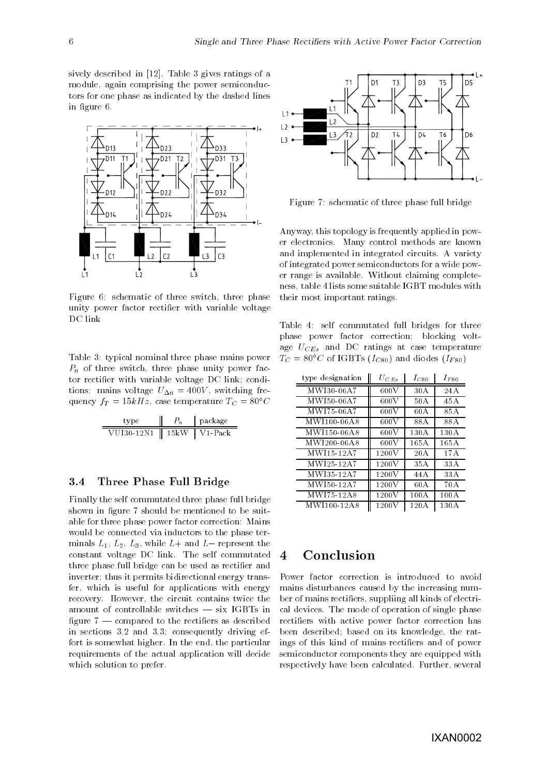sively described in [12]. Table 3 gives ratings of a module, again comprising the power semiconductors for one phase as indicated by the dashed lines in figure 6.



Figure 6: schematic of three switch, three phase unity power factor rectifier with variable voltage DC link

Table 3: typical nominal three phase mains power  $P_n$  of three switch, three phase unity power factor rectier with variable voltage DC link; conditions: mains voltage  $U_{\Delta n} = 400V$ , switching frequency  $f_T = 15kHz$ , case temperature  $T_C = 80^{\circ}C$ 

|            |          | package  |
|------------|----------|----------|
| VUI30-12N1 | - 15 k W | V 1-Pack |

#### 3.4Three Phase Full Bridge

Finally the self commutated three phase full bridge shown in figure 7 should be mentioned to be suitable for three phase power factor correction: Mains would be connected via inductors to the phase terminals  $L_1, L_2, L_3$ , while  $L+$  and  $L-$  represent the constant voltage DC link. The self commutated three phase full bridge can be used as rectifier and inverter; thus it permits bidirectional energy transfer, which is useful for applications with energy recovery. However, the circuit contains twice the amount of controllable switches  $-$  six IGBTs in figure  $7$  — compared to the rectifiers as described in sections 3.2 and 3.3; consequently driving effort is somewhat higher. In the end, the particular requirements of the actual application will decide which solution to prefer.



Figure 7: schematic of three phase full bridge

Anyway, this topology is frequently applied in power electronics. Many control methods are known and implemented in integrated circuits. A variety of integrated power semiconductors for a wide power range is available. Without claiming completeness, table 4 lists some suitable IGBT modules with their most important ratings.

Table 4: self commutated full bridges for three phase power factor correction; blocking voltage  $U_{CEs}$  and DC ratings at case temperature  $T_C = 80^{\circ}$ C of IGBTs ( $I_{C80}$ ) and diodes ( $I_{F80}$ )

| type designation | $U_{CEs}$ | $I_{C80}$ | $I_{F80}$ |  |
|------------------|-----------|-----------|-----------|--|
| M WI30-06 A7     | 600 V     | 30A       | 24A       |  |
| MWI50-06A7       | 600V      | 50 A      | 45 A      |  |
| M WI75-06 A7     | 600V      | 60 A      | 85 A      |  |
| MWI100-06A8      | 600 V     | 88 A      | 88 A      |  |
| MWI150-06A8      | 600V      | 130 A     | 130A      |  |
| MWI200-06A8      | 600V      | 165A      | 165 A     |  |
| MWI15-12A7       | 1200V     | 20A       | 17A       |  |
| M WI25-12A7      | 1200V     | 35 A      | 33 A      |  |
| M WI35-12A7      | 1200V     | 44 A      | 33 A      |  |
| MWI50-12A7       | 1200V     | 60 A      | 70 A      |  |
| MWI75-12A8       | 1200V     | 100A      | 100A      |  |
| MWI100-12A8      | 1200 V    | 120A      | 130 A     |  |

# **Conclusion**

Power factor correction is introduced to avoid mains disturbances caused by the increasing number of mains rectiers, suppliing all kinds of electrical devices. The mode of operation of single phase rectifiers with active power factor correction has been described; based on its knowledge, the ratings of this kind of mains rectiers and of power semiconductor components they are equipped with respectively have been calculated. Further, several